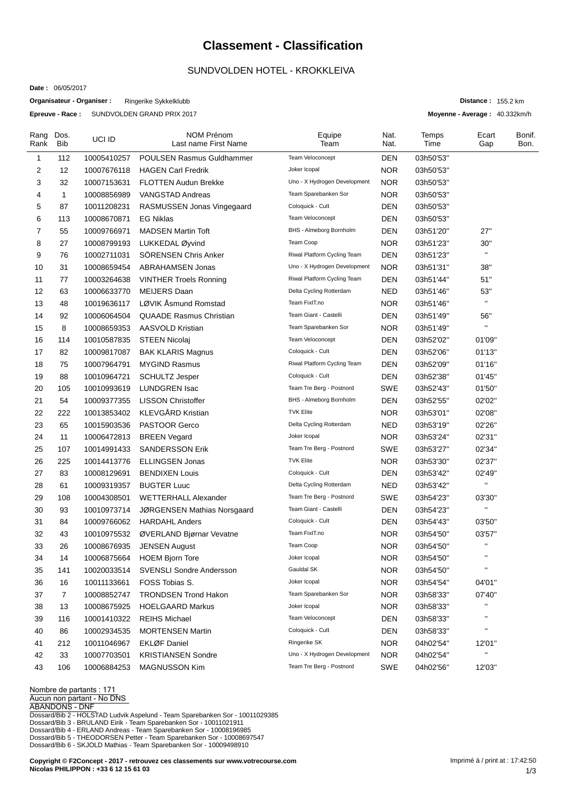## **Classement - Classification**

## SUNDVOLDEN HOTEL - KROKKLEIVA

**Date :** 06/05/2017

**Organisateur - Organiser :** Ringerike Sykkelklubb

**Epreuve - Race :** SUNDVOLDEN GRAND PRIX 2017

| Rang<br>Rank | Dos.<br>Bib    | UCI ID      | <b>NOM Prénom</b><br>Last name First Name | Equipe<br>Team               | Nat.<br>Nat. | Temps<br>Time | Ecart<br>Gap                                                     | Bonif.<br>Bon. |
|--------------|----------------|-------------|-------------------------------------------|------------------------------|--------------|---------------|------------------------------------------------------------------|----------------|
| 1            | 112            | 10005410257 | <b>POULSEN Rasmus Guldhammer</b>          | Team Veloconcept             | DEN          | 03h50'53"     |                                                                  |                |
| 2            | 12             | 10007676118 | <b>HAGEN Carl Fredrik</b>                 | Joker Icopal                 | <b>NOR</b>   | 03h50'53"     |                                                                  |                |
| 3            | 32             | 10007153631 | <b>FLOTTEN Audun Brekke</b>               | Uno - X Hydrogen Development | <b>NOR</b>   | 03h50'53"     |                                                                  |                |
| 4            | $\mathbf{1}$   | 10008856989 | <b>VANGSTAD Andreas</b>                   | Team Sparebanken Sor         | <b>NOR</b>   | 03h50'53"     |                                                                  |                |
| 5            | 87             | 10011208231 | RASMUSSEN Jonas Vingegaard                | Coloquick - Cult             | <b>DEN</b>   | 03h50'53"     |                                                                  |                |
| 6            | 113            | 10008670871 | <b>EG Niklas</b>                          | Team Veloconcept             | <b>DEN</b>   | 03h50'53"     |                                                                  |                |
| 7            | 55             | 10009766971 | <b>MADSEN Martin Toft</b>                 | BHS - Almeborg Bornholm      | <b>DEN</b>   | 03h51'20"     | 27"                                                              |                |
| 8            | 27             | 10008799193 | LUKKEDAL Øyvind                           | Team Coop                    | <b>NOR</b>   | 03h51'23"     | 30"                                                              |                |
| 9            | 76             | 10002711031 | SÖRENSEN Chris Anker                      | Riwal Platform Cycling Team  | <b>DEN</b>   | 03h51'23"     | $\mathbf{H}$                                                     |                |
| 10           | 31             | 10008659454 | <b>ABRAHAMSEN Jonas</b>                   | Uno - X Hydrogen Development | <b>NOR</b>   | 03h51'31"     | 38"                                                              |                |
| 11           | 77             | 10003264638 | <b>VINTHER Troels Ronning</b>             | Riwal Platform Cycling Team  | <b>DEN</b>   | 03h51'44"     | 51"                                                              |                |
| 12           | 63             | 10006633770 | <b>MEIJERS Daan</b>                       | Delta Cycling Rotterdam      | <b>NED</b>   | 03h51'46"     | 53"                                                              |                |
| 13           | 48             | 10019636117 | LØVIK Åsmund Romstad                      | Team FixIT.no                | <b>NOR</b>   | 03h51'46"     | $\mathbf{H}$                                                     |                |
| 14           | 92             | 10006064504 | <b>QUAADE Rasmus Christian</b>            | Team Giant - Castelli        | DEN          | 03h51'49"     | 56"                                                              |                |
| 15           | 8              | 10008659353 | <b>AASVOLD Kristian</b>                   | Team Sparebanken Sor         | <b>NOR</b>   | 03h51'49"     | $\blacksquare$                                                   |                |
| 16           | 114            | 10010587835 | STEEN Nicolaj                             | Team Veloconcept             | DEN          | 03h52'02"     | 01'09"                                                           |                |
| 17           | 82             | 10009817087 | <b>BAK KLARIS Magnus</b>                  | Coloquick - Cult             | <b>DEN</b>   | 03h52'06"     | 01'13''                                                          |                |
| 18           | 75             | 10007964791 | <b>MYGIND Rasmus</b>                      | Riwal Platform Cycling Team  | DEN          | 03h52'09"     | 01'16"                                                           |                |
| 19           | 88             | 10010964721 | <b>SCHULTZ Jesper</b>                     | Coloquick - Cult             | DEN          | 03h52'38"     | 01'45"                                                           |                |
| 20           | 105            | 10010993619 | <b>LUNDGREN Isac</b>                      | Team Tre Berg - Postnord     | <b>SWE</b>   | 03h52'43"     | 01'50"                                                           |                |
| 21           | 54             | 10009377355 | <b>LISSON Christoffer</b>                 | BHS - Almeborg Bornholm      | <b>DEN</b>   | 03h52'55"     | 02'02"                                                           |                |
| 22           | 222            | 10013853402 | KLEVGÅRD Kristian                         | <b>TVK Elite</b>             | <b>NOR</b>   | 03h53'01"     | 02'08"                                                           |                |
| 23           | 65             | 10015903536 | <b>PASTOOR Gerco</b>                      | Delta Cycling Rotterdam      | <b>NED</b>   | 03h53'19"     | 02'26"                                                           |                |
| 24           | 11             | 10006472813 | <b>BREEN Vegard</b>                       | Joker Icopal                 | <b>NOR</b>   | 03h53'24"     | 02'31"                                                           |                |
| 25           | 107            | 10014991433 | <b>SANDERSSON Erik</b>                    | Team Tre Berg - Postnord     | <b>SWE</b>   | 03h53'27"     | 02'34"                                                           |                |
| 26           | 225            | 10014413776 | <b>ELLINGSEN Jonas</b>                    | <b>TVK Elite</b>             | <b>NOR</b>   | 03h53'30"     | 02'37"                                                           |                |
| 27           | 83             | 10008129691 | <b>BENDIXEN Louis</b>                     | Coloquick - Cult             | <b>DEN</b>   | 03h53'42"     | 02'49"                                                           |                |
| 28           | 61             | 10009319357 | <b>BUGTER Luuc</b>                        | Delta Cycling Rotterdam      | NED          | 03h53'42"     | $\mathsf{H}% _{T}=\mathsf{H}_{T}\left( \mathcal{M}_{T}\right) ,$ |                |
| 29           | 108            | 10004308501 | <b>WETTERHALL Alexander</b>               | Team Tre Berg - Postnord     | SWE          | 03h54'23"     | 03'30"                                                           |                |
| 30           | 93             | 10010973714 | JØRGENSEN Mathias Norsgaard               | Team Giant - Castelli        | <b>DEN</b>   | 03h54'23"     | $\pmb{\mathsf{H}}$                                               |                |
| 31           | 84             | 10009766062 | <b>HARDAHL Anders</b>                     | Coloquick - Cult             | DEN          | 03h54'43"     | 03'50"                                                           |                |
| 32           | 43             | 10010975532 | ØVERLAND Bjørnar Vevatne                  | Team FixIT.no                | NOR.         | 03h54'50"     | 03'57"                                                           |                |
| 33           | 26             | 10008676935 | <b>JENSEN August</b>                      | Team Coop                    | <b>NOR</b>   | 03h54'50"     | $\pmb{\mathsf{H}}$                                               |                |
| 34           | 14             | 10006875664 | <b>HOEM Bjorn Tore</b>                    | Joker Icopal                 | <b>NOR</b>   | 03h54'50"     | $\mathbf{H}$                                                     |                |
| 35           | 141            | 10020033514 | <b>SVENSLI Sondre Andersson</b>           | Gauldal SK                   | <b>NOR</b>   | 03h54'50"     | $\pmb{\mathsf{H}}$                                               |                |
| 36           | 16             | 10011133661 | FOSS Tobias S.                            | Joker Icopal                 | <b>NOR</b>   | 03h54'54"     | 04'01"                                                           |                |
| 37           | $\overline{7}$ | 10008852747 | <b>TRONDSEN Trond Hakon</b>               | Team Sparebanken Sor         | <b>NOR</b>   | 03h58'33"     | 07'40"                                                           |                |
| 38           | 13             | 10008675925 | <b>HOELGAARD Markus</b>                   | Joker Icopal                 | <b>NOR</b>   | 03h58'33"     | $\mathbf{H}$                                                     |                |
| 39           | 116            | 10001410322 | <b>REIHS Michael</b>                      | Team Veloconcept             | <b>DEN</b>   | 03h58'33"     | $\blacksquare$                                                   |                |
| 40           | 86             | 10002934535 | <b>MORTENSEN Martin</b>                   | Coloquick - Cult             | <b>DEN</b>   | 03h58'33"     | Н                                                                |                |
| 41           | 212            | 10011046967 | <b>EKLØF Daniel</b>                       | Ringerike SK                 | <b>NOR</b>   | 04h02'54"     | 12'01"                                                           |                |
| 42           | 33             | 10007703501 | <b>KRISTIANSEN Sondre</b>                 | Uno - X Hydrogen Development | <b>NOR</b>   | 04h02'54"     | $\mathbf{H}$                                                     |                |
| 43           | 106            | 10006884253 | <b>MAGNUSSON Kim</b>                      | Team Tre Berg - Postnord     | SWE          | 04h02'56"     | 12'03"                                                           |                |

**Nombre de partants : 171**

**Aucun non partant - No DNS**

**ABANDONS - DNF**

Dossard/Bib 2 - HOLSTAD Ludvik Aspelund - Team Sparebanken Sor - 10011029385 Dossard/Bib 3 - BRULAND Eirik - Team Sparebanken Sor - 10011021911<br>Dossard/Bib 4 - ERLAND Andreas - Team Sparebanken Sor - 10008196985<br>Dossard/Bib 5 - THEODORSEN Petter - Team Sparebanken Sor - 10008697547<br>Dossard/Bib 6 -

**Copyright © F2Concept - 2017 - retrouvez ces classements sur www.votrecourse.com Nicolas PHILIPPON : +33 6 12 15 61 03**

**Distance :** 155.2 km **Moyenne - Average :** 40.332km/h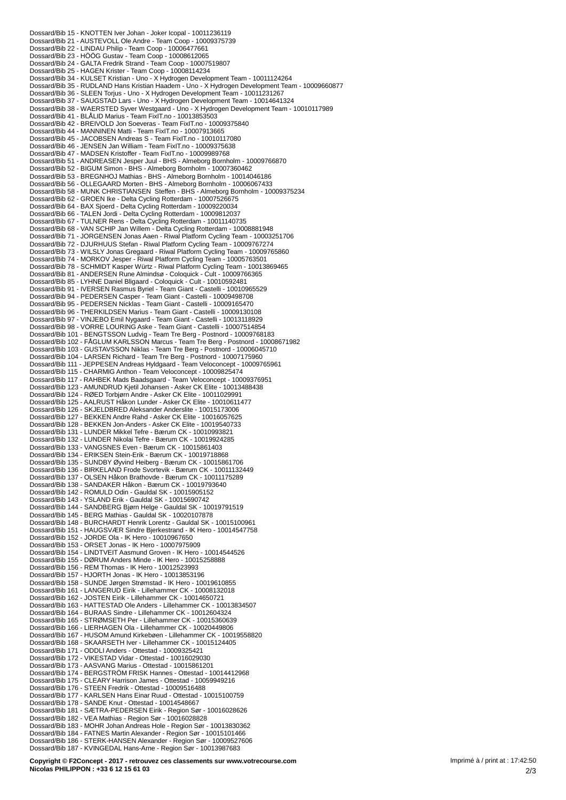Dossard/Bib 15 - KNOTTEN Iver Johan - Joker Icopal - 10011236119 Dossard/Bib 21 - AUSTEVOLL Ole Andre - Team Coop - 10009375739 Dossard/Bib 22 - LINDAU Philip - Team Coop - 10006477661 Dossard/Bib 23 - HÖÖG Gustav - Team Coop - 10008612065 Dossard/Bib 24 - GALTA Fredrik Strand - Team Coop - 10007519807<br>Dossard/Bib 24 - GALTA Fredrik Strand - Team Coop - 10007519807 Dossard/Bib 34 - KULSET Kristian - Uno - X Hydrogen Development Team - 10011124264<br>Dossard/Bib 34 - KULSET Kristian - Uno - X Hydrogen Development Team - 10011124264<br>Dossard/Bib 35 - RUDLAND Hans Kristian Haadem - Uno - X Dossard/Bib 36 - SLEEN Torjus - Uno - X Hydrogen Development Team - 10011231267<br>Dossard/Bib 36 - SLEEN Torjus - Uno - X Hydrogen Development Team - 10011231267 Dossard/Bib 38 - WAERSTED Siver Westgaard - Uno - X Hydrogen Development Team - 10010117989<br>Dossard/Bib 38 - WAERSTED Siver Westgaard - Uno - X Hydrogen Development Team - 10010117989 Dossard/Bib 41 - BLALID Marius - Team Fix F. Team FixT.no<br>Dossard/Bib 42 - BREIVOLD Jon Soeveras - Team FixT.no - 10009375840<br>Dossard/Bib 44 - MANNINEN Matti - Team FixIT.no - 10007913665 Dossard/Bib 45 - JACOBSEN Andreas S - Team FixIT.no - 10010117080 Dossard/Bib 46 - JENSEN Jan William - Team FixIT.no - 10009375638<br>Dossard/Bib 46 - JENSEN Jan William - Team FixIT.no - 10009375638<br>Dossard/Bib 47 - MADSEN Kristoffer - Team FixIT.no - 10009989768 Dossard/Bib 51 - MADSEN NISIONER - Team FIXT 1.10 - TO009969706<br>Dossard/Bib 51 - ANDREASEN Jesper Juul - BHS - Almeborg Bornholm - 10009766870<br>Dossard/Bib 52 - BIGUM Simon - BHS - Almeborg Bornholm - 10007360462 Dossard/Bib 53 - BREGNHOJ Mathias - BHS - Almeborg Bornholm - 1001/304402<br>Dossard/Bib 53 - BREGNHOJ Mathias - BHS - Almeborg Bornholm - 10014046186<br>Dossard/Bib 56 - OLLEGAARD Morten - BHS - Almeborg Bornholm - 10006067433 Dossard/Bib 58 - MUNK CHRISTIANSEN Steffen - BHS - Almeborg Bornholm - 10009375234 Dossard/Bib 62 - GROEN Ike - Delta Cycling Rotterdam - 10007526675<br>Dossard/Bib 62 - GROEN Ike - Delta Cycling Rotterdam - 10007526675 Dossard/Bib 66 - TALEN Jordi - Delta Cycling Rotterdam - 10009812037<br>Dossard/Bib 66 - TALEN Jordi - Delta Cycling Rotterdam - 10009812037<br>Dossard/Bib 67 - TULNER Rens - Delta Cycling Rotterdam - 10011140735 Dossard/Bib 68 - VAN SCHIP Jan Willem - Delta Cycling Rotterdam - 10008881948<br>Dossard/Bib 68 - VAN SCHIP Jan Willem - Delta Cycling Rotterdam - 10008881948<br>Dossard/Bib 71 - JORGENSEN Jonas Aaen - Riwal Platform Cycling Tea Dossard/Bib 74 - MORKOV Jesper - Riwal Platform Cycling Team - 10005763501 Dossard/Bib 78 - SCHMIDT Kasper Würtz - Riwal Platform Cycling Team - 10013869465 Dossard/Bib 81 - ANDERSEN Rune Almindsø - Coloquick - Cult - 10009766365 Dossard/Bib 85 - LYHNE Daniel Bligaard - Coloquick - Cult - 10010592481<br>Dossard/Bib 91 - IVERSEN Rasmus Byriel - Team Giant - Castelli - 10010965529 Dossard/Bib 94 - PEDERSEN Casper - Team Giant - Castelli - 10009498708 Dossard/Bib 95 - PEDERSEN Nicklas - Team Giant - Castelli - 10009165470 Dossard/Bib 96 - THERKILDSEN Marius - Team Giant - Castelli - 10009130108 Dossard/Bib 97 - VINCEDO Emil Nygaard - Team Giant - Castelli - 10093130829<br>Dossard/Bib 97 - VINCEDO Emil Nygaard - Team Giant - Castelli - 10007514854<br>Dossard/Bib 98 - VORRE LOURING Aske - Team Giant - Castelli - 10007514 Dossard/Bib 104 - LARSEN Richard - Team Tre Berg - Postnord - 10007175960 Dossard/Bib 111 - JEPPESEN Andreas Hyldgaard - Team Veloconcept - 10009765961<br>Dossard/Bib 111 - JEPPESEN Andreas Hyldgaard - Team Veloconcept - 10009765961<br>Dossard/Bib 115 - CHARMIG Anthon - Team Veloconcept - 10009825474<br> Dossard/Bib 123 - AMUNDRUD Kjetil Johansen - Asker CK Elite - 10013488438 Dossard/Bib 124 - RØED Torbjørn Andre - Asker CK Elite - 10011029991 Dossard/Bib 125 - AALRUST Hakon Lunder - Asker CK Elite - 10010611477<br>Dossard/Bib 125 - AALRUST Hakon Lunder - Asker CK Elite - 10010611477 Dossard/Bib 127 - BEKKEN Andre Rahd - Asker CK Elite - 10016057625 Dossard/Bib 128 - BEKKEN Jon-Anders - Asker CK Elite - 10019540733 Dossard/Bib 131 - LUNDER Mikkel Tefre - Bærum CK - 10010993821 Dossard/Bib 132 - LUNDER Nikolai Tefre - Bærum CK - 10019934285<br>Dossard/Bib 132 - LUNDER Nikolai Tefre - Bærum CK - 10019924285<br>Dossard/Bib 133 - VANGSNES Even - Bærum CK - 10015861403<br>Dossard/Bib 135 - SUNDBY Øyvind Heibe Dossard/Bib 136 - BIRKELAND Frode Svortevik - Bærum CK - 10011132449 Dossard/Bib 137 - OLSEN Håkon Brathovde - Bærum CK - 10011175289 Dossard/Bib 138 - SANDAKER Håkon - Bærum CK - 10019793640 Dossard/Bib 142 - ROMULD Odin - Gauldal SK - 10015905152<br>Dossard/Bib 142 - ROMULD Odin - Gauldal SK - 10015905152 Dossard/Bib 144 - SANDBERG Bjørn Helge - Gauldal SK - 10019791519<br>Dossard/Bib 144 - SANDBERG Bjørn Helge - Gauldal SK - 10019791519<br>Dossard/Bib 145 - BERG Mathias - Gauldal SK - 10020107878 Dossard/Bib 148 - BURCHARDT Henrik Lorentz - Gauldal SK - 10015100961 Dossard/Bib 151 - HAUGSVÆR Sindre Bjerkestrand - IK Hero - 10014547758 Dossard/Bib 152 - JORDE Ola - IK Hero - 10010967650 Dossard/Bib 153 - ORSET Jonas - IK Hero - 10007975909<br>Dossard/Bib 153 - ORSET Jonas - IK Hero - 10007975909<br>Dossard/Bib 154 - LINDTVEIT Aasmund Groven - IK Hero - 10014544526 Dossard/Bib 155 - DØRUM Anders Minde - IK Hero - 10015258888 Dossard/Bib 156 - REM Thomas - IK Hero - 10012523993 Dossard/Bib 157 - HJORTH Jonas - IK Hero - 10013853196<br>Dossard/Bib 157 - HJORTH Jonas - IK Hero - 10013853196<br>Dossard/Bib 158 - SUNDE Jørgen Strømstad - IK Hero - 10019610855<br>Dossard/Bib 161 - LANGERUD Eirik - Lillehammer Dossard/Bib 162 - JOSTEN Eirik - Lillehammer CK - 10014650721 Dossard/Bib 163 - HATTESTAD Ole Anders - Lillehammer CK - 10013834507 Dossard/Bib 164 - BURAAS Sindre - Lillehammer CK - 10012604324<br>Dossard/Bib 164 - BURAAS Sindre - Lillehammer CK - 10015360639<br>Dossard/Bib 166 - LIERHAGEN Ola - Lillehammer CK - 10020449806 Dossard/Bib 167 - HUSOM Amund Kirkebøen - Lillehammer CK - 10019558820 Dossard/Bib 168 - SKAARSETH Iver - Lillehammer CK - 10015124405 Dossard/Bib 171 - ODDLI Anders - Ottestad - 10009325421 Dossard/Bib 172 - VIKESTAD Vidar - Ottestad - 10016029030 Dossard/Bib 173 - AASVANG Marius - Ottestad - 10015861201<br>Dossard/Bib 174 - BERGSTRÖM FRISK Hannes - Ottestad - 10014412968 Dossard/Bib 175 - CLEARY Harrison James - Ottestad - 10059949216 Dossard/Bib 176 - STEEN Fredrik - Ottestad - 10009516488 Dossard/Bib 177 - KARLSEN Hans Einar Ruud - Ottestad - 10015100759 Dossard/Bib 178 - SANDE Knut - Ottestad - 10014548667<br>Dossard/Bib 178 - SANDE Knut - Ottestad - 10014548667<br>Dossard/Bib 181 - SÆTRA-PEDERSEN Eirik - Region Sør - 10016028626<br>Dossard/Bib 182 - VEA Mathias - Region Sør - 100 Dossard/Bib 183 - MOHR Johan Andreas Hole - Region Sør - 10013830362 Dossard/Bib 184 - FATNES Martin Alexander - Region Sør - 10015101466 Dossard/Bib 186 - STERK-HANSEN Alexander - Region Sør - 10009527606 Dossard/Bib 187 - KVINGEDAL Hans-Arne - Region Sør - 10013987683

Copyright © F2Concept - 2017 - retrouvez ces classements sur www.votrecourse.com Nicolas PHILIPPON : +33 6 12 15 61 03